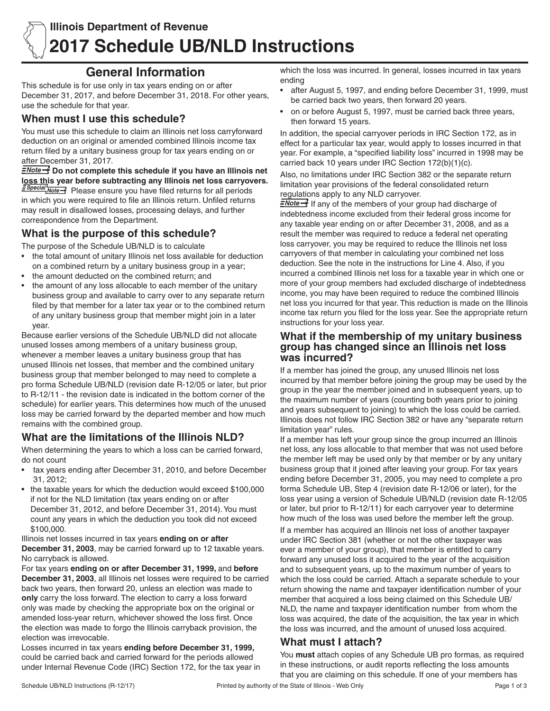# **General Information**

This schedule is for use only in tax years ending on or after December 31, 2017, and before December 31, 2018. For other years, use the schedule for that year.

## **When must I use this schedule?**

You must use this schedule to claim an Illinois net loss carryforward deduction on an original or amended combined Illinois income tax return filed by a unitary business group for tax years ending on or after December 31, 2017.

 $\frac{2 \text{Note} \rightarrow \text{So}}{2}$  Do not complete this schedule if you have an Illinois net **loss this year before subtracting any Illinois net loss carryovers. E** Special Note >>>>>>> Please ensure you have filed returns for all periods in which you were required to file an Illinois return. Unfiled returns may result in disallowed losses, processing delays, and further

#### correspondence from the Department. **What is the purpose of this schedule?**

The purpose of the Schedule UB/NLD is to calculate

- the total amount of unitary Illinois net loss available for deduction on a combined return by a unitary business group in a year;
- the amount deducted on the combined return; and
- the amount of any loss allocable to each member of the unitary business group and available to carry over to any separate return filed by that member for a later tax year or to the combined return of any unitary business group that member might join in a later year.

Because earlier versions of the Schedule UB/NLD did not allocate unused losses among members of a unitary business group, whenever a member leaves a unitary business group that has unused Illinois net losses, that member and the combined unitary business group that member belonged to may need to complete a pro forma Schedule UB/NLD (revision date R-12/05 or later, but prior to R-12/11 - the revision date is indicated in the bottom corner of the schedule) for earlier years. This determines how much of the unused loss may be carried forward by the departed member and how much remains with the combined group.

# **What are the limitations of the Illinois NLD?**

When determining the years to which a loss can be carried forward, do not count

- • tax years ending after December 31, 2010, and before December 31, 2012;
- the taxable years for which the deduction would exceed \$100,000 if not for the NLD limitation (tax years ending on or after December 31, 2012, and before December 31, 2014). You must count any years in which the deduction you took did not exceed \$100,000.

Illinois net losses incurred in tax years **ending on or after December 31, 2003**, may be carried forward up to 12 taxable years. No carryback is allowed.

For tax years **ending on or after December 31, 1999,** and **before December 31, 2003**, all Illinois net losses were required to be carried back two years, then forward 20, unless an election was made to **only** carry the loss forward. The election to carry a loss forward only was made by checking the appropriate box on the original or amended loss-year return, whichever showed the loss first. Once the election was made to forgo the Illinois carryback provision, the election was irrevocable.

Losses incurred in tax years **ending before December 31, 1999,** could be carried back and carried forward for the periods allowed under Internal Revenue Code (IRC) Section 172, for the tax year in which the loss was incurred. In general, losses incurred in tax years ending

- after August 5, 1997, and ending before December 31, 1999, must be carried back two years, then forward 20 years.
- on or before August 5, 1997, must be carried back three years, then forward 15 years.

In addition, the special carryover periods in IRC Section 172, as in effect for a particular tax year, would apply to losses incurred in that year. For example, a "specified liability loss" incurred in 1998 may be carried back 10 years under IRC Section 172(b)(1)(c).

Also, no limitations under IRC Section 382 or the separate return limitation year provisions of the federal consolidated return regulations apply to any NLD carryover.

**ENote** If any of the members of your group had discharge of indebtedness income excluded from their federal gross income for any taxable year ending on or after December 31, 2008, and as a result the member was required to reduce a federal net operating loss carryover, you may be required to reduce the Illinois net loss carryovers of that member in calculating your combined net loss deduction. See the note in the instructions for Line 4. Also, if you incurred a combined Illinois net loss for a taxable year in which one or more of your group members had excluded discharge of indebtedness income, you may have been required to reduce the combined Illinois net loss you incurred for that year. This reduction is made on the Illinois income tax return you filed for the loss year. See the appropriate return instructions for your loss year.

### **What if the membership of my unitary business group has changed since an Illinois net loss was incurred?**

If a member has joined the group, any unused Illinois net loss incurred by that member before joining the group may be used by the group in the year the member joined and in subsequent years, up to the maximum number of years (counting both years prior to joining and years subsequent to joining) to which the loss could be carried. Illinois does not follow IRC Section 382 or have any "separate return limitation year" rules.

If a member has left your group since the group incurred an Illinois net loss, any loss allocable to that member that was not used before the member left may be used only by that member or by any unitary business group that it joined after leaving your group. For tax years ending before December 31, 2005, you may need to complete a pro forma Schedule UB, Step 4 (revision date R-12/06 or later), for the loss year using a version of Schedule UB/NLD (revision date R-12/05 or later, but prior to R-12/11) for each carryover year to determine how much of the loss was used before the member left the group.

If a member has acquired an Illinois net loss of another taxpayer under IRC Section 381 (whether or not the other taxpayer was ever a member of your group), that member is entitled to carry forward any unused loss it acquired to the year of the acquisition and to subsequent years, up to the maximum number of years to which the loss could be carried. Attach a separate schedule to your return showing the name and taxpayer identification number of your member that acquired a loss being claimed on this Schedule UB/ NLD, the name and taxpayer identification number from whom the loss was acquired, the date of the acquisition, the tax year in which the loss was incurred, and the amount of unused loss acquired.

## **What must I attach?**

You **must** attach copies of any Schedule UB pro formas, as required in these instructions, or audit reports reflecting the loss amounts that you are claiming on this schedule. If one of your members has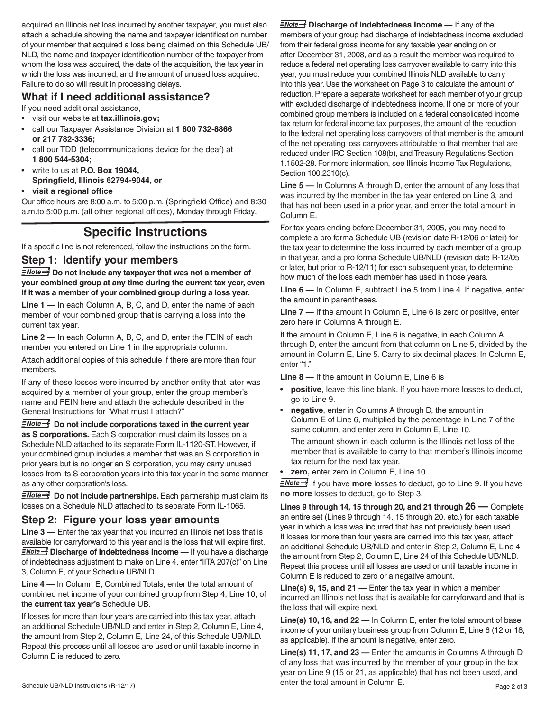acquired an Illinois net loss incurred by another taxpayer, you must also attach a schedule showing the name and taxpayer identification number of your member that acquired a loss being claimed on this Schedule UB/ NLD, the name and taxpayer identification number of the taxpayer from whom the loss was acquired, the date of the acquisition, the tax year in which the loss was incurred, and the amount of unused loss acquired. Failure to do so will result in processing delays.

## **What if I need additional assistance?**

If you need additional assistance,

- • visit our website at **tax.illinois.gov;**
- • call our Taxpayer Assistance Division at **1 800 732-8866 or 217 782-3336;**
- call our TDD (telecommunications device for the deaf) at **1 800 544-5304;**
- write to us at **P.O. Box 19044, Springfield, Illinois 62794-9044, or**

#### **• visit a regional office**

Our office hours are 8:00 a.m. to 5:00 p.m. (Springfield Office) and 8:30 a.m.to 5:00 p.m. (all other regional offices), Monday through Friday.

## **Specific Instructions**

If a specific line is not referenced, follow the instructions on the form.

#### **Step 1: Identify your members**

**ENote >>>** Do not include any taxpayer that was not a member of **your combined group at any time during the current tax year, even if it was a member of your combined group during a loss year.**

**Line 1 —** In each Column A, B, C, and D, enter the name of each member of your combined group that is carrying a loss into the current tax year.

**Line 2 —** In each Column A, B, C, and D, enter the FEIN of each member you entered on Line 1 in the appropriate column.

Attach additional copies of this schedule if there are more than four members.

If any of these losses were incurred by another entity that later was acquired by a member of your group, enter the group member's name and FEIN here and attach the schedule described in the General Instructions for "What must I attach?"

**ENote >>>** Do not include corporations taxed in the current year **as S corporations.** Each S corporation must claim its losses on a Schedule NLD attached to its separate Form IL-1120-ST. However, if your combined group includes a member that was an S corporation in prior years but is no longer an S corporation, you may carry unused losses from its S corporation years into this tax year in the same manner as any other corporation's loss.

**ENote >>>** Do not include partnerships. Each partnership must claim its losses on a Schedule NLD attached to its separate Form IL-1065.

### **Step 2: Figure your loss year amounts**

**Line 3 —** Enter the tax year that you incurred an Illinois net loss that is available for carryforward to this year and is the loss that will expire first. **ENote >>** Discharge of Indebtedness Income — If you have a discharge of indebtedness adjustment to make on Line 4, enter "IITA 207(c)" on Line 3, Column E, of your Schedule UB/NLD.

**Line 4 —** In Column E, Combined Totals, enter the total amount of combined net income of your combined group from Step 4, Line 10, of the **current tax year's** Schedule UB.

If losses for more than four years are carried into this tax year, attach an additional Schedule UB/NLD and enter in Step 2, Column E, Line 4, the amount from Step 2, Column E, Line 24, of this Schedule UB/NLD. Repeat this process until all losses are used or until taxable income in Column E is reduced to zero.

**ENote >>** Discharge of Indebtedness Income — If any of the members of your group had discharge of indebtedness income excluded from their federal gross income for any taxable year ending on or after December 31, 2008, and as a result the member was required to reduce a federal net operating loss carryover available to carry into this year, you must reduce your combined Illinois NLD available to carry into this year. Use the worksheet on Page 3 to calculate the amount of reduction. Prepare a separate worksheet for each member of your group with excluded discharge of indebtedness income. If one or more of your combined group members is included on a federal consolidated income tax return for federal income tax purposes, the amount of the reduction to the federal net operating loss carryovers of that member is the amount of the net operating loss carryovers attributable to that member that are reduced under IRC Section 108(b), and Treasury Regulations Section 1.1502-28. For more information, see Illinois Income Tax Regulations, Section 100.2310(c).

**Line 5 —** In Columns A through D, enter the amount of any loss that was incurred by the member in the tax year entered on Line 3, and that has not been used in a prior year, and enter the total amount in Column E.

For tax years ending before December 31, 2005, you may need to complete a pro forma Schedule UB (revision date R-12/06 or later) for the tax year to determine the loss incurred by each member of a group in that year, and a pro forma Schedule UB/NLD (revision date R-12/05 or later, but prior to R-12/11) for each subsequent year, to determine how much of the loss each member has used in those years.

**Line 6 —** In Column E, subtract Line 5 from Line 4. If negative, enter the amount in parentheses.

**Line 7 —** If the amount in Column E, Line 6 is zero or positive, enter zero here in Columns A through E.

If the amount in Column E, Line 6 is negative, in each Column A through D, enter the amount from that column on Line 5, divided by the amount in Column E, Line 5. Carry to six decimal places. In Column E, enter "1."

**Line 8 —** If the amount in Column E, Line 6 is

- positive, leave this line blank. If you have more losses to deduct, go to Line 9.
- **negative**, enter in Columns A through D, the amount in Column E of Line 6, multiplied by the percentage in Line 7 of the same column, and enter zero in Column E, Line 10. The amount shown in each column is the Illinois net loss of the member that is available to carry to that member's Illinois income tax return for the next tax year.
- **zero, enter zero in Column E, Line 10.**

**ENote >**If you have **more** losses to deduct, go to Line 9. If you have **no more** losses to deduct, go to Step 3.

**Lines 9 through 14, 15 through 20, and 21 through 26 —** Complete an entire set (Lines 9 through 14, 15 through 20, etc.) for each taxable year in which a loss was incurred that has not previously been used. If losses for more than four years are carried into this tax year, attach an additional Schedule UB/NLD and enter in Step 2, Column E, Line 4 the amount from Step 2, Column E, Line 24 of this Schedule UB/NLD. Repeat this process until all losses are used or until taxable income in Column E is reduced to zero or a negative amount.

**Line(s) 9, 15, and 21 —** Enter the tax year in which a member incurred an Illinois net loss that is available for carryforward and that is the loss that will expire next.

**Line(s) 10, 16, and 22 —** In Column E, enter the total amount of base income of your unitary business group from Column E, Line 6 (12 or 18, as applicable). If the amount is negative, enter zero.

Schedule UB/NLD Instructions (R-12/17) **Page 2 of 3 Page 2 of 3 Page 2 of 3 Page 2 of 3 Line(s) 11, 17, and 23 —** Enter the amounts in Columns A through D of any loss that was incurred by the member of your group in the tax year on Line 9 (15 or 21, as applicable) that has not been used, and enter the total amount in Column E.